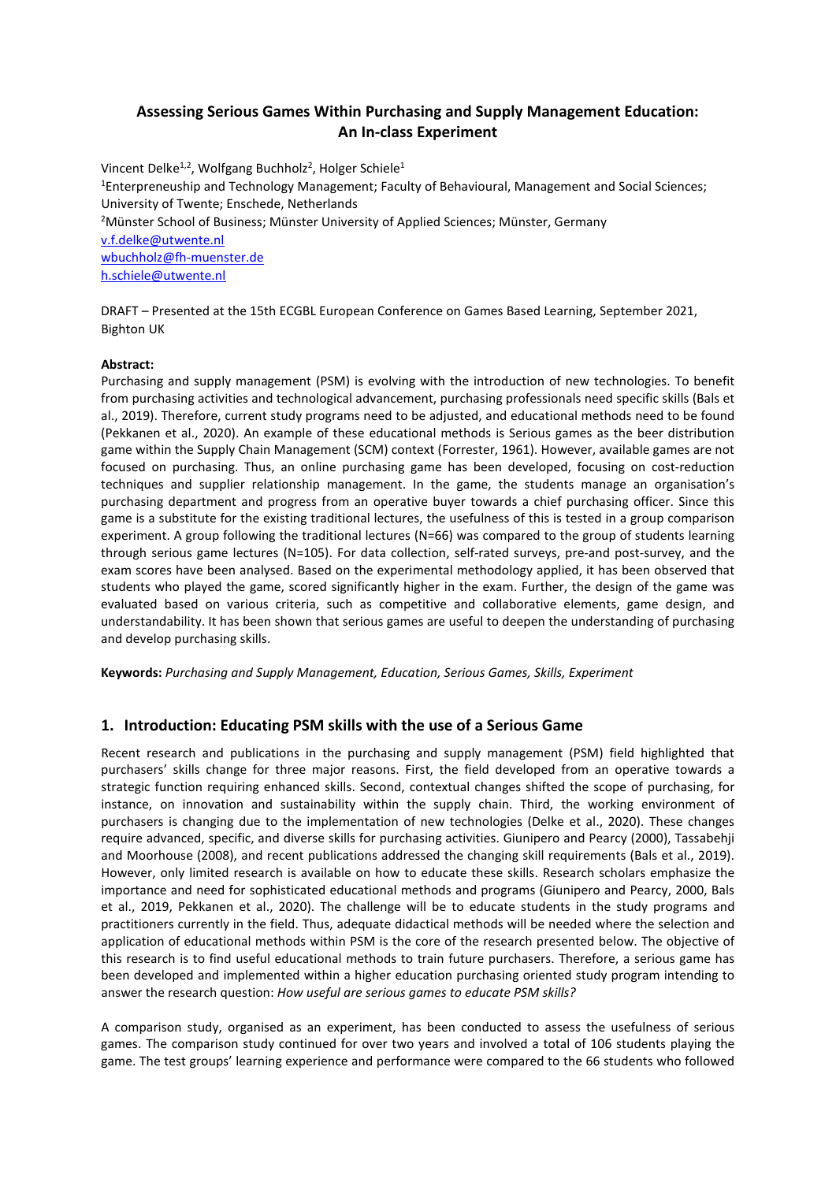# **Assessing Serious Games Within Purchasing and Supply Management Education: An In-class Experiment**

Vincent Delke<sup>1,2</sup>, Wolfgang Buchholz<sup>2</sup>, Holger Schiele<sup>1</sup> 1 Enterpreneuship and Technology Management; Faculty of Behavioural, Management and Social Sciences; University of Twente; Enschede, Netherlands 2 Münster School of Business; Münster University of Applied Sciences; Münster, Germany [v.f.delke@utwente.nl](mailto:v.f.delke@utwente.nl) [wbuchholz@fh-muenster.de](mailto:wbuchholz@fh-muenster.de) [h.schiele@utwente.nl](mailto:h.schiele@utwente.nl)

DRAFT – Presented at the 15th ECGBL European Conference on Games Based Learning, September 2021, Bighton UK

#### **Abstract:**

Purchasing and supply management (PSM) is evolving with the introduction of new technologies. To benefit from purchasing activities and technological advancement, purchasing professionals need specific skills (Bals et al., 2019). Therefore, current study programs need to be adjusted, and educational methods need to be found (Pekkanen et al., 2020). An example of these educational methods is Serious games as the beer distribution game within the Supply Chain Management (SCM) context (Forrester, 1961). However, available games are not focused on purchasing. Thus, an online purchasing game has been developed, focusing on cost-reduction techniques and supplier relationship management. In the game, the students manage an organisation's purchasing department and progress from an operative buyer towards a chief purchasing officer. Since this game is a substitute for the existing traditional lectures, the usefulness of this is tested in a group comparison experiment. A group following the traditional lectures (N=66) was compared to the group of students learning through serious game lectures (N=105). For data collection, self-rated surveys, pre-and post-survey, and the exam scores have been analysed. Based on the experimental methodology applied, it has been observed that students who played the game, scored significantly higher in the exam. Further, the design of the game was evaluated based on various criteria, such as competitive and collaborative elements, game design, and understandability. It has been shown that serious games are useful to deepen the understanding of purchasing and develop purchasing skills.

**Keywords:** *Purchasing and Supply Management, Education, Serious Games, Skills, Experiment*

## **1. Introduction: Educating PSM skills with the use of a Serious Game**

Recent research and publications in the purchasing and supply management (PSM) field highlighted that purchasers' skills change for three major reasons. First, the field developed from an operative towards a strategic function requiring enhanced skills. Second, contextual changes shifted the scope of purchasing, for instance, on innovation and sustainability within the supply chain. Third, the working environment of purchasers is changing due to the implementation of new technologies (Delke et al., 2020). These changes require advanced, specific, and diverse skills for purchasing activities. Giunipero and Pearcy (2000), Tassabehji and Moorhouse (2008), and recent publications addressed the changing skill requirements (Bals et al., 2019). However, only limited research is available on how to educate these skills. Research scholars emphasize the importance and need for sophisticated educational methods and programs (Giunipero and Pearcy, 2000, Bals et al., 2019, Pekkanen et al., 2020). The challenge will be to educate students in the study programs and practitioners currently in the field. Thus, adequate didactical methods will be needed where the selection and application of educational methods within PSM is the core of the research presented below. The objective of this research is to find useful educational methods to train future purchasers. Therefore, a serious game has been developed and implemented within a higher education purchasing oriented study program intending to answer the research question: *How useful are serious games to educate PSM skills?*

A comparison study, organised as an experiment, has been conducted to assess the usefulness of serious games. The comparison study continued for over two years and involved a total of 106 students playing the game. The test groups' learning experience and performance were compared to the 66 students who followed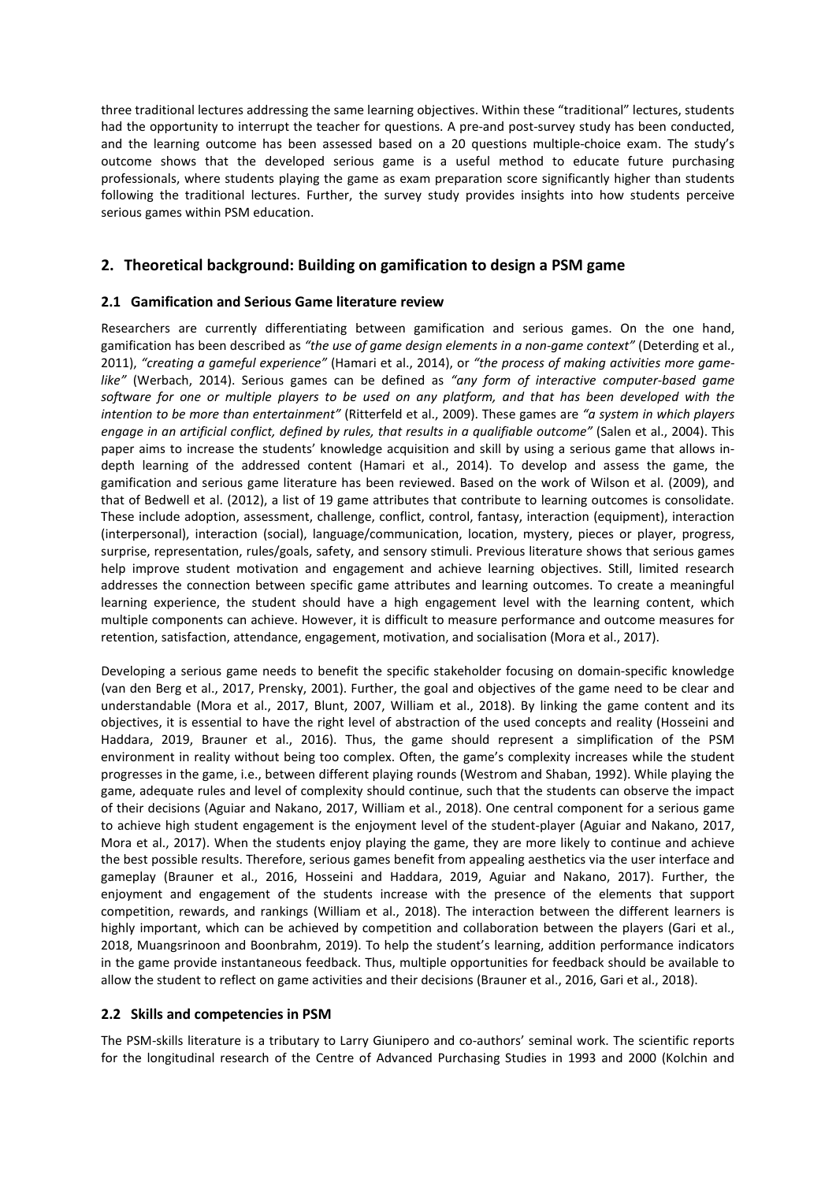three traditional lectures addressing the same learning objectives. Within these "traditional" lectures, students had the opportunity to interrupt the teacher for questions. A pre-and post-survey study has been conducted, and the learning outcome has been assessed based on a 20 questions multiple-choice exam. The study's outcome shows that the developed serious game is a useful method to educate future purchasing professionals, where students playing the game as exam preparation score significantly higher than students following the traditional lectures. Further, the survey study provides insights into how students perceive serious games within PSM education.

# **2. Theoretical background: Building on gamification to design a PSM game**

## **2.1 Gamification and Serious Game literature review**

Researchers are currently differentiating between gamification and serious games. On the one hand, gamification has been described as *"the use of game design elements in a non-game context"* (Deterding et al., 2011), *"creating a gameful experience"* (Hamari et al., 2014), or *"the process of making activities more gamelike"* (Werbach, 2014). Serious games can be defined as *"any form of interactive computer-based game software for one or multiple players to be used on any platform, and that has been developed with the intention to be more than entertainment"* (Ritterfeld et al., 2009). These games are *"a system in which players engage in an artificial conflict, defined by rules, that results in a qualifiable outcome"* (Salen et al., 2004). This paper aims to increase the students' knowledge acquisition and skill by using a serious game that allows indepth learning of the addressed content (Hamari et al., 2014). To develop and assess the game, the gamification and serious game literature has been reviewed. Based on the work of Wilson et al. (2009), and that of Bedwell et al. (2012), a list of 19 game attributes that contribute to learning outcomes is consolidate. These include adoption, assessment, challenge, conflict, control, fantasy, interaction (equipment), interaction (interpersonal), interaction (social), language/communication, location, mystery, pieces or player, progress, surprise, representation, rules/goals, safety, and sensory stimuli. Previous literature shows that serious games help improve student motivation and engagement and achieve learning objectives. Still, limited research addresses the connection between specific game attributes and learning outcomes. To create a meaningful learning experience, the student should have a high engagement level with the learning content, which multiple components can achieve. However, it is difficult to measure performance and outcome measures for retention, satisfaction, attendance, engagement, motivation, and socialisation (Mora et al., 2017).

Developing a serious game needs to benefit the specific stakeholder focusing on domain-specific knowledge (van den Berg et al., 2017, Prensky, 2001). Further, the goal and objectives of the game need to be clear and understandable (Mora et al., 2017, Blunt, 2007, William et al., 2018). By linking the game content and its objectives, it is essential to have the right level of abstraction of the used concepts and reality (Hosseini and Haddara, 2019, Brauner et al., 2016). Thus, the game should represent a simplification of the PSM environment in reality without being too complex. Often, the game's complexity increases while the student progresses in the game, i.e., between different playing rounds (Westrom and Shaban, 1992). While playing the game, adequate rules and level of complexity should continue, such that the students can observe the impact of their decisions (Aguiar and Nakano, 2017, William et al., 2018). One central component for a serious game to achieve high student engagement is the enjoyment level of the student-player (Aguiar and Nakano, 2017, Mora et al., 2017). When the students enjoy playing the game, they are more likely to continue and achieve the best possible results. Therefore, serious games benefit from appealing aesthetics via the user interface and gameplay (Brauner et al., 2016, Hosseini and Haddara, 2019, Aguiar and Nakano, 2017). Further, the enjoyment and engagement of the students increase with the presence of the elements that support competition, rewards, and rankings (William et al., 2018). The interaction between the different learners is highly important, which can be achieved by competition and collaboration between the players (Gari et al., 2018, Muangsrinoon and Boonbrahm, 2019). To help the student's learning, addition performance indicators in the game provide instantaneous feedback. Thus, multiple opportunities for feedback should be available to allow the student to reflect on game activities and their decisions (Brauner et al., 2016, Gari et al., 2018).

#### **2.2 Skills and competencies in PSM**

The PSM-skills literature is a tributary to Larry Giunipero and co-authors' seminal work. The scientific reports for the longitudinal research of the Centre of Advanced Purchasing Studies in 1993 and 2000 (Kolchin and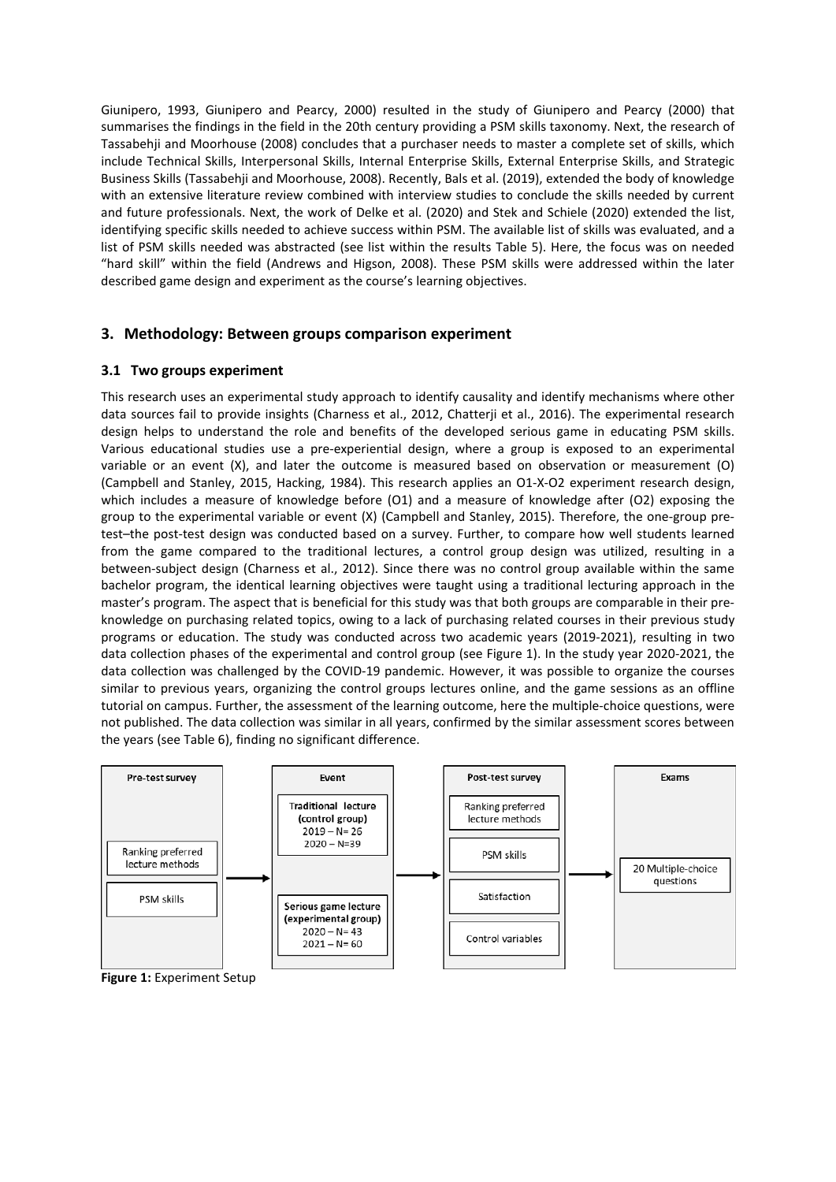Giunipero, 1993, Giunipero and Pearcy, 2000) resulted in the study of Giunipero and Pearcy (2000) that summarises the findings in the field in the 20th century providing a PSM skills taxonomy. Next, the research of Tassabehji and Moorhouse (2008) concludes that a purchaser needs to master a complete set of skills, which include Technical Skills, Interpersonal Skills, Internal Enterprise Skills, External Enterprise Skills, and Strategic Business Skills (Tassabehji and Moorhouse, 2008). Recently, Bals et al. (2019), extended the body of knowledge with an extensive literature review combined with interview studies to conclude the skills needed by current and future professionals. Next, the work of Delke et al. (2020) and Stek and Schiele (2020) extended the list, identifying specific skills needed to achieve success within PSM. The available list of skills was evaluated, and a list of PSM skills needed was abstracted (see list within the results Table 5). Here, the focus was on needed "hard skill" within the field (Andrews and Higson, 2008). These PSM skills were addressed within the later described game design and experiment as the course's learning objectives.

## **3. Methodology: Between groups comparison experiment**

#### **3.1 Two groups experiment**

This research uses an experimental study approach to identify causality and identify mechanisms where other data sources fail to provide insights (Charness et al., 2012, Chatterji et al., 2016). The experimental research design helps to understand the role and benefits of the developed serious game in educating PSM skills. Various educational studies use a pre-experiential design, where a group is exposed to an experimental variable or an event (X), and later the outcome is measured based on observation or measurement (O) (Campbell and Stanley, 2015, Hacking, 1984). This research applies an O1-X-O2 experiment research design, which includes a measure of knowledge before (O1) and a measure of knowledge after (O2) exposing the group to the experimental variable or event (X) (Campbell and Stanley, 2015). Therefore, the one-group pretest–the post-test design was conducted based on a survey. Further, to compare how well students learned from the game compared to the traditional lectures, a control group design was utilized, resulting in a between-subject design (Charness et al., 2012). Since there was no control group available within the same bachelor program, the identical learning objectives were taught using a traditional lecturing approach in the master's program. The aspect that is beneficial for this study was that both groups are comparable in their preknowledge on purchasing related topics, owing to a lack of purchasing related courses in their previous study programs or education. The study was conducted across two academic years (2019-2021), resulting in two data collection phases of the experimental and control group (see Figure 1). In the study year 2020-2021, the data collection was challenged by the COVID-19 pandemic. However, it was possible to organize the courses similar to previous years, organizing the control groups lectures online, and the game sessions as an offline tutorial on campus. Further, the assessment of the learning outcome, here the multiple-choice questions, were not published. The data collection was similar in all years, confirmed by the similar assessment scores between the years (see Table 6), finding no significant difference.



**Figure 1:** Experiment Setup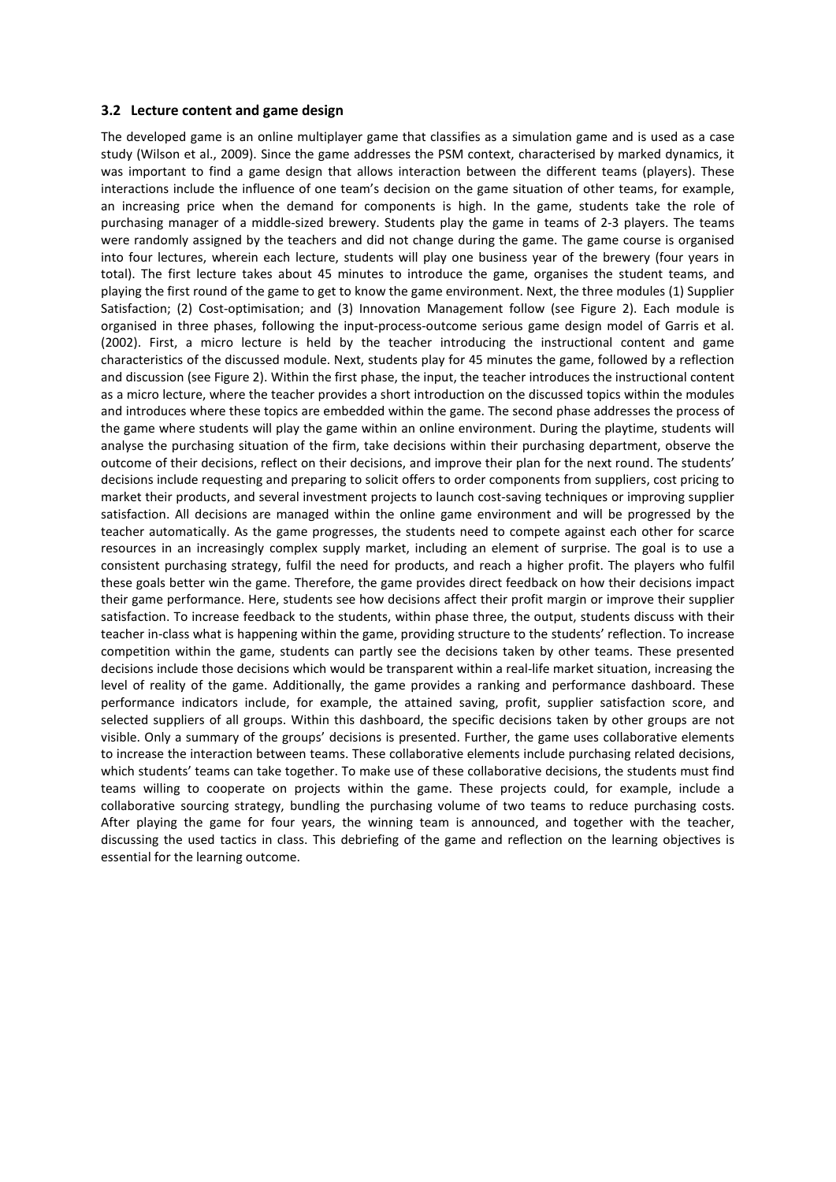#### **3.2 Lecture content and game design**

The developed game is an online multiplayer game that classifies as a simulation game and is used as a case study (Wilson et al., 2009). Since the game addresses the PSM context, characterised by marked dynamics, it was important to find a game design that allows interaction between the different teams (players). These interactions include the influence of one team's decision on the game situation of other teams, for example, an increasing price when the demand for components is high. In the game, students take the role of purchasing manager of a middle-sized brewery. Students play the game in teams of 2-3 players. The teams were randomly assigned by the teachers and did not change during the game. The game course is organised into four lectures, wherein each lecture, students will play one business year of the brewery (four years in total). The first lecture takes about 45 minutes to introduce the game, organises the student teams, and playing the first round of the game to get to know the game environment. Next, the three modules (1) Supplier Satisfaction; (2) Cost-optimisation; and (3) Innovation Management follow (see Figure 2). Each module is organised in three phases, following the input-process-outcome serious game design model of Garris et al. (2002). First, a micro lecture is held by the teacher introducing the instructional content and game characteristics of the discussed module. Next, students play for 45 minutes the game, followed by a reflection and discussion (see Figure 2). Within the first phase, the input, the teacher introduces the instructional content as a micro lecture, where the teacher provides a short introduction on the discussed topics within the modules and introduces where these topics are embedded within the game. The second phase addresses the process of the game where students will play the game within an online environment. During the playtime, students will analyse the purchasing situation of the firm, take decisions within their purchasing department, observe the outcome of their decisions, reflect on their decisions, and improve their plan for the next round. The students' decisions include requesting and preparing to solicit offers to order components from suppliers, cost pricing to market their products, and several investment projects to launch cost-saving techniques or improving supplier satisfaction. All decisions are managed within the online game environment and will be progressed by the teacher automatically. As the game progresses, the students need to compete against each other for scarce resources in an increasingly complex supply market, including an element of surprise. The goal is to use a consistent purchasing strategy, fulfil the need for products, and reach a higher profit. The players who fulfil these goals better win the game. Therefore, the game provides direct feedback on how their decisions impact their game performance. Here, students see how decisions affect their profit margin or improve their supplier satisfaction. To increase feedback to the students, within phase three, the output, students discuss with their teacher in-class what is happening within the game, providing structure to the students' reflection. To increase competition within the game, students can partly see the decisions taken by other teams. These presented decisions include those decisions which would be transparent within a real-life market situation, increasing the level of reality of the game. Additionally, the game provides a ranking and performance dashboard. These performance indicators include, for example, the attained saving, profit, supplier satisfaction score, and selected suppliers of all groups. Within this dashboard, the specific decisions taken by other groups are not visible. Only a summary of the groups' decisions is presented. Further, the game uses collaborative elements to increase the interaction between teams. These collaborative elements include purchasing related decisions, which students' teams can take together. To make use of these collaborative decisions, the students must find teams willing to cooperate on projects within the game. These projects could, for example, include a collaborative sourcing strategy, bundling the purchasing volume of two teams to reduce purchasing costs. After playing the game for four years, the winning team is announced, and together with the teacher, discussing the used tactics in class. This debriefing of the game and reflection on the learning objectives is essential for the learning outcome.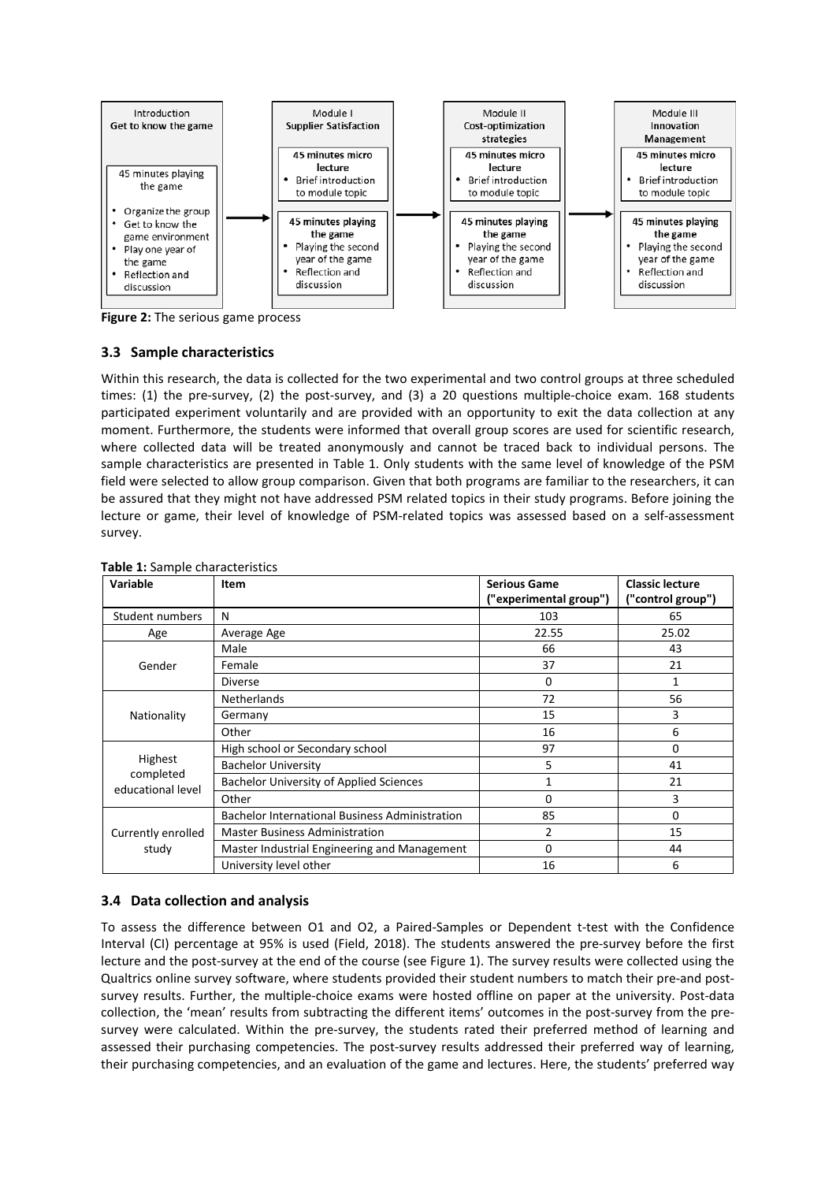

**Figure 2:** The serious game process

## **3.3 Sample characteristics**

Within this research, the data is collected for the two experimental and two control groups at three scheduled times: (1) the pre-survey, (2) the post-survey, and (3) a 20 questions multiple-choice exam. 168 students participated experiment voluntarily and are provided with an opportunity to exit the data collection at any moment. Furthermore, the students were informed that overall group scores are used for scientific research, where collected data will be treated anonymously and cannot be traced back to individual persons. The sample characteristics are presented in Table 1. Only students with the same level of knowledge of the PSM field were selected to allow group comparison. Given that both programs are familiar to the researchers, it can be assured that they might not have addressed PSM related topics in their study programs. Before joining the lecture or game, their level of knowledge of PSM-related topics was assessed based on a self-assessment survey.

| Variable                                  | Item                                                  | <b>Serious Game</b>    | <b>Classic lecture</b> |  |
|-------------------------------------------|-------------------------------------------------------|------------------------|------------------------|--|
|                                           |                                                       | ("experimental group") | ("control group")      |  |
| Student numbers                           | N                                                     | 103                    | 65                     |  |
| Age                                       | Average Age                                           | 22.55                  | 25.02                  |  |
|                                           | Male                                                  | 66                     | 43                     |  |
| Gender                                    | Female                                                | 37                     | 21                     |  |
|                                           | <b>Diverse</b>                                        | 0                      | 1                      |  |
|                                           | <b>Netherlands</b>                                    | 72                     | 56                     |  |
| Nationality                               | Germany                                               | 15                     | 3                      |  |
|                                           | Other                                                 | 16                     | 6                      |  |
|                                           | High school or Secondary school                       | 97                     | 0                      |  |
| Highest<br>completed<br>educational level | <b>Bachelor University</b>                            | 5                      | 41                     |  |
|                                           | <b>Bachelor University of Applied Sciences</b>        |                        | 21                     |  |
|                                           | Other                                                 | 0                      | 3                      |  |
|                                           | <b>Bachelor International Business Administration</b> | 85                     | 0                      |  |
| Currently enrolled<br>study               | <b>Master Business Administration</b>                 | 2                      | 15                     |  |
|                                           | Master Industrial Engineering and Management          | $\Omega$               | 44                     |  |
|                                           | University level other                                | 16                     | 6                      |  |

**Table 1:** Sample characteristics

#### **3.4 Data collection and analysis**

To assess the difference between O1 and O2, a Paired-Samples or Dependent t-test with the Confidence Interval (CI) percentage at 95% is used (Field, 2018). The students answered the pre-survey before the first lecture and the post-survey at the end of the course (see Figure 1). The survey results were collected using the Qualtrics online survey software, where students provided their student numbers to match their pre-and postsurvey results. Further, the multiple-choice exams were hosted offline on paper at the university. Post-data collection, the 'mean' results from subtracting the different items' outcomes in the post-survey from the presurvey were calculated. Within the pre-survey, the students rated their preferred method of learning and assessed their purchasing competencies. The post-survey results addressed their preferred way of learning, their purchasing competencies, and an evaluation of the game and lectures. Here, the students' preferred way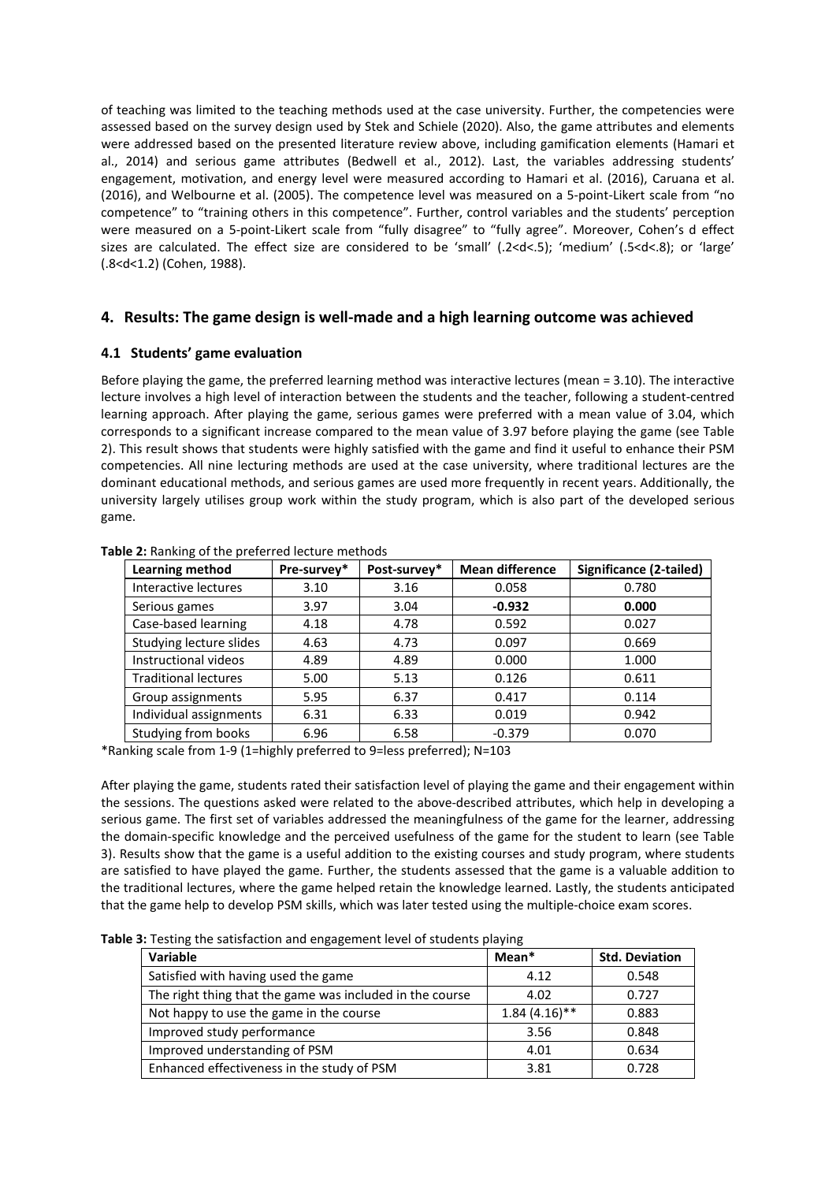of teaching was limited to the teaching methods used at the case university. Further, the competencies were assessed based on the survey design used by Stek and Schiele (2020). Also, the game attributes and elements were addressed based on the presented literature review above, including gamification elements (Hamari et al., 2014) and serious game attributes (Bedwell et al., 2012). Last, the variables addressing students' engagement, motivation, and energy level were measured according to Hamari et al. (2016), Caruana et al. (2016), and Welbourne et al. (2005). The competence level was measured on a 5-point-Likert scale from "no competence" to "training others in this competence". Further, control variables and the students' perception were measured on a 5-point-Likert scale from "fully disagree" to "fully agree". Moreover, Cohen's d effect sizes are calculated. The effect size are considered to be 'small' (.2<d<.5); 'medium' (.5<d<.8); or 'large' (.8<d<1.2) (Cohen, 1988).

## **4. Results: The game design is well-made and a high learning outcome was achieved**

#### **4.1 Students' game evaluation**

Before playing the game, the preferred learning method was interactive lectures (mean = 3.10). The interactive lecture involves a high level of interaction between the students and the teacher, following a student-centred learning approach. After playing the game, serious games were preferred with a mean value of 3.04, which corresponds to a significant increase compared to the mean value of 3.97 before playing the game (see Table 2). This result shows that students were highly satisfied with the game and find it useful to enhance their PSM competencies. All nine lecturing methods are used at the case university, where traditional lectures are the dominant educational methods, and serious games are used more frequently in recent years. Additionally, the university largely utilises group work within the study program, which is also part of the developed serious game.

| Learning method             | Pre-survey* | Post-survey* | <b>Mean difference</b> | Significance (2-tailed) |
|-----------------------------|-------------|--------------|------------------------|-------------------------|
| Interactive lectures        | 3.10        | 3.16         | 0.058                  | 0.780                   |
| Serious games               | 3.97        | 3.04         | $-0.932$               | 0.000                   |
| Case-based learning         | 4.18        | 4.78         | 0.592                  | 0.027                   |
| Studying lecture slides     | 4.63        | 4.73         | 0.097                  | 0.669                   |
| Instructional videos        | 4.89        | 4.89         | 0.000                  | 1.000                   |
| <b>Traditional lectures</b> | 5.00        | 5.13         | 0.126                  | 0.611                   |
| Group assignments           | 5.95        | 6.37         | 0.417                  | 0.114                   |
| Individual assignments      | 6.31        | 6.33         | 0.019                  | 0.942                   |
| Studying from books         | 6.96        | 6.58         | $-0.379$               | 0.070                   |

**Table 2:** Ranking of the preferred lecture methods

\*Ranking scale from 1-9 (1=highly preferred to 9=less preferred); N=103

After playing the game, students rated their satisfaction level of playing the game and their engagement within the sessions. The questions asked were related to the above-described attributes, which help in developing a serious game. The first set of variables addressed the meaningfulness of the game for the learner, addressing the domain-specific knowledge and the perceived usefulness of the game for the student to learn (see Table 3). Results show that the game is a useful addition to the existing courses and study program, where students are satisfied to have played the game. Further, the students assessed that the game is a valuable addition to the traditional lectures, where the game helped retain the knowledge learned. Lastly, the students anticipated that the game help to develop PSM skills, which was later tested using the multiple-choice exam scores.

|  | Table 3: Testing the satisfaction and engagement level of students playing |  |
|--|----------------------------------------------------------------------------|--|
|--|----------------------------------------------------------------------------|--|

| <b>Variable</b>                                          | Mean*           | <b>Std. Deviation</b> |  |
|----------------------------------------------------------|-----------------|-----------------------|--|
| Satisfied with having used the game                      | 4.12            | 0.548                 |  |
| The right thing that the game was included in the course | 4.02            | 0.727                 |  |
| Not happy to use the game in the course                  | $1.84(4.16)$ ** | 0.883                 |  |
| Improved study performance                               | 3.56            | 0.848                 |  |
| Improved understanding of PSM                            | 4.01            | 0.634                 |  |
| Enhanced effectiveness in the study of PSM               | 3.81            | 0.728                 |  |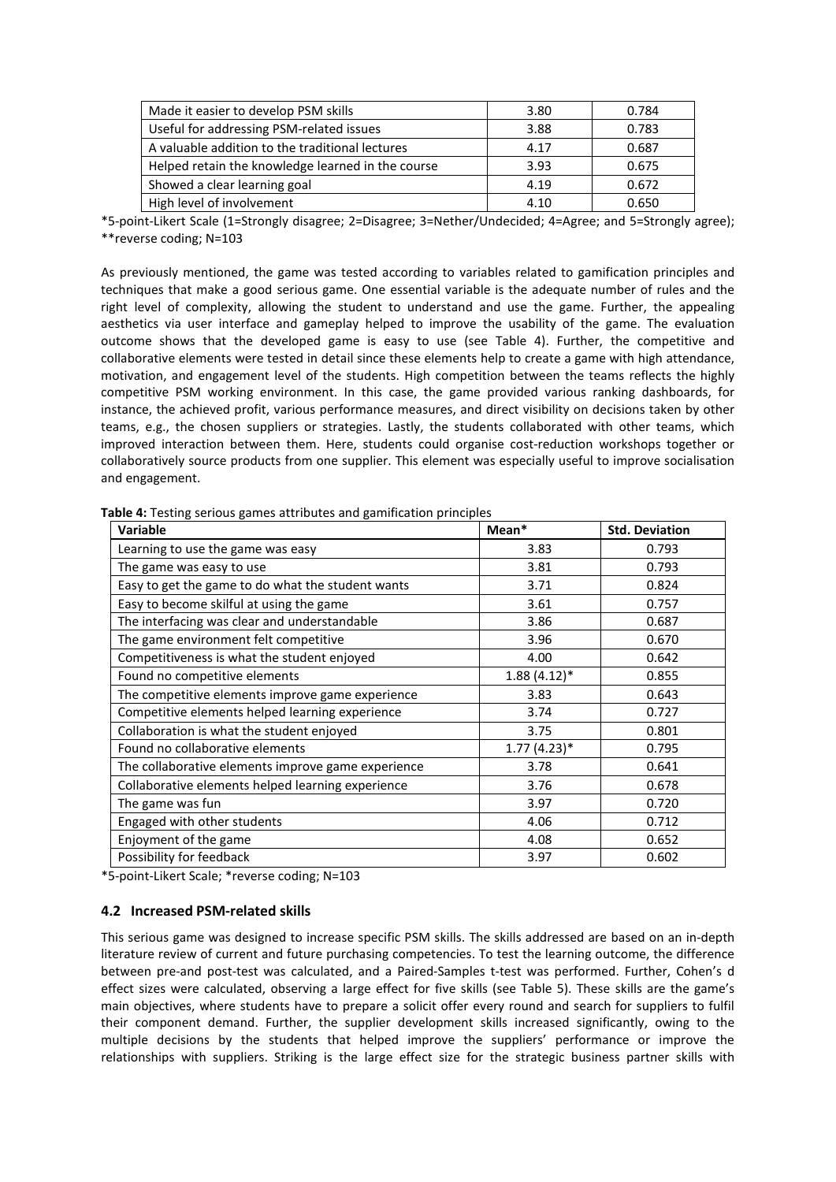| Made it easier to develop PSM skills              | 3.80 | 0.784 |
|---------------------------------------------------|------|-------|
| Useful for addressing PSM-related issues          | 3.88 | 0.783 |
| A valuable addition to the traditional lectures   | 4.17 | 0.687 |
| Helped retain the knowledge learned in the course | 3.93 | 0.675 |
| Showed a clear learning goal                      | 4.19 | 0.672 |
| High level of involvement                         | 4.10 | 0.650 |

\*5-point-Likert Scale (1=Strongly disagree; 2=Disagree; 3=Nether/Undecided; 4=Agree; and 5=Strongly agree); \*\*reverse coding; N=103

As previously mentioned, the game was tested according to variables related to gamification principles and techniques that make a good serious game. One essential variable is the adequate number of rules and the right level of complexity, allowing the student to understand and use the game. Further, the appealing aesthetics via user interface and gameplay helped to improve the usability of the game. The evaluation outcome shows that the developed game is easy to use (see Table 4). Further, the competitive and collaborative elements were tested in detail since these elements help to create a game with high attendance, motivation, and engagement level of the students. High competition between the teams reflects the highly competitive PSM working environment. In this case, the game provided various ranking dashboards, for instance, the achieved profit, various performance measures, and direct visibility on decisions taken by other teams, e.g., the chosen suppliers or strategies. Lastly, the students collaborated with other teams, which improved interaction between them. Here, students could organise cost-reduction workshops together or collaboratively source products from one supplier. This element was especially useful to improve socialisation and engagement.

| <b>Variable</b>                                    | Mean*          | <b>Std. Deviation</b> |  |  |
|----------------------------------------------------|----------------|-----------------------|--|--|
| Learning to use the game was easy                  | 3.83           | 0.793                 |  |  |
| The game was easy to use                           | 3.81           | 0.793                 |  |  |
| Easy to get the game to do what the student wants  | 3.71           | 0.824                 |  |  |
| Easy to become skilful at using the game           | 3.61           | 0.757                 |  |  |
| The interfacing was clear and understandable       | 3.86           | 0.687                 |  |  |
| The game environment felt competitive              | 3.96           | 0.670                 |  |  |
| Competitiveness is what the student enjoyed        | 4.00           | 0.642                 |  |  |
| Found no competitive elements                      | $1.88(4.12)^*$ | 0.855                 |  |  |
| The competitive elements improve game experience   | 3.83           | 0.643                 |  |  |
| Competitive elements helped learning experience    | 3.74           | 0.727                 |  |  |
| Collaboration is what the student enjoyed          | 3.75           | 0.801                 |  |  |
| Found no collaborative elements                    | $1.77(4.23)*$  | 0.795                 |  |  |
| The collaborative elements improve game experience | 3.78           | 0.641                 |  |  |
| Collaborative elements helped learning experience  | 3.76           | 0.678                 |  |  |
| The game was fun                                   | 3.97           | 0.720                 |  |  |
| Engaged with other students                        | 4.06           | 0.712                 |  |  |
| Enjoyment of the game                              | 4.08           | 0.652                 |  |  |
| Possibility for feedback                           | 3.97           | 0.602                 |  |  |

**Table 4:** Testing serious games attributes and gamification principles

\*5-point-Likert Scale; \*reverse coding; N=103

#### **4.2 Increased PSM-related skills**

This serious game was designed to increase specific PSM skills. The skills addressed are based on an in-depth literature review of current and future purchasing competencies. To test the learning outcome, the difference between pre-and post-test was calculated, and a Paired-Samples t-test was performed. Further, Cohen's d effect sizes were calculated, observing a large effect for five skills (see Table 5). These skills are the game's main objectives, where students have to prepare a solicit offer every round and search for suppliers to fulfil their component demand. Further, the supplier development skills increased significantly, owing to the multiple decisions by the students that helped improve the suppliers' performance or improve the relationships with suppliers. Striking is the large effect size for the strategic business partner skills with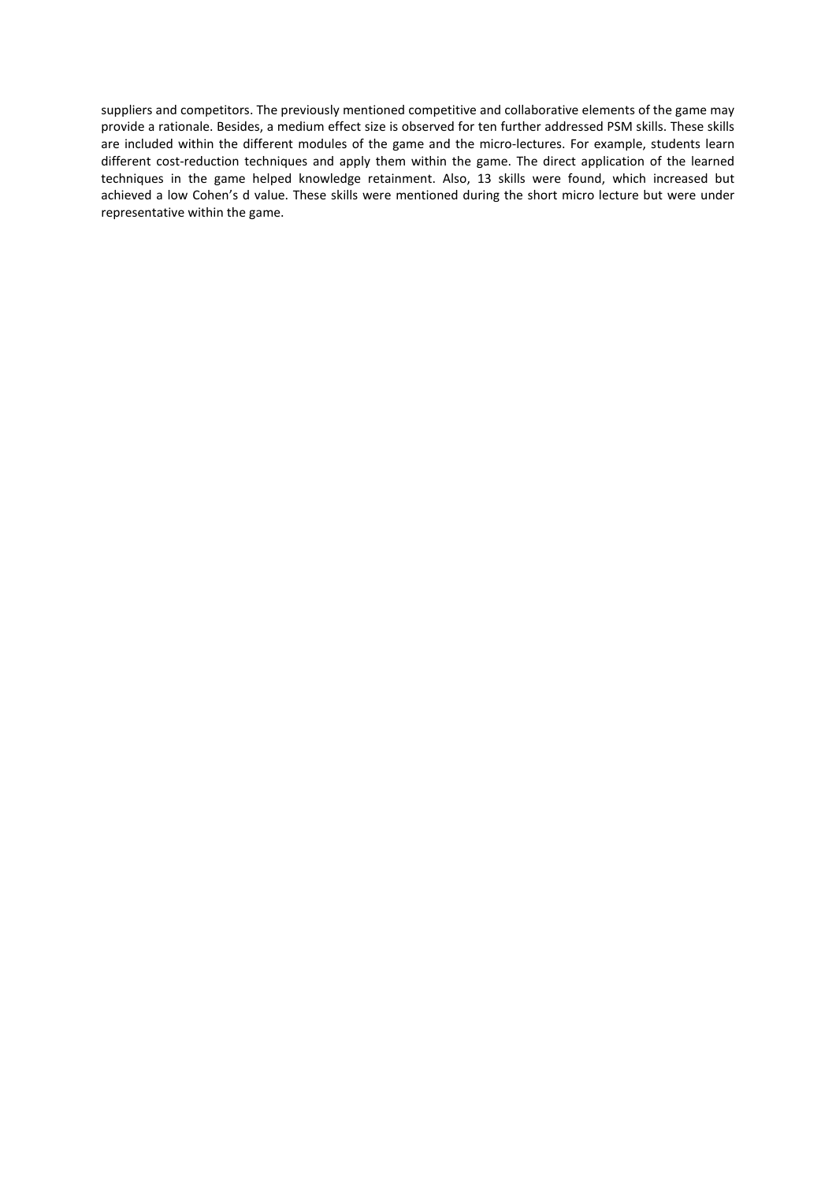suppliers and competitors. The previously mentioned competitive and collaborative elements of the game may provide a rationale. Besides, a medium effect size is observed for ten further addressed PSM skills. These skills are included within the different modules of the game and the micro-lectures. For example, students learn different cost-reduction techniques and apply them within the game. The direct application of the learned techniques in the game helped knowledge retainment. Also, 13 skills were found, which increased but achieved a low Cohen's d value. These skills were mentioned during the short micro lecture but were under representative within the game.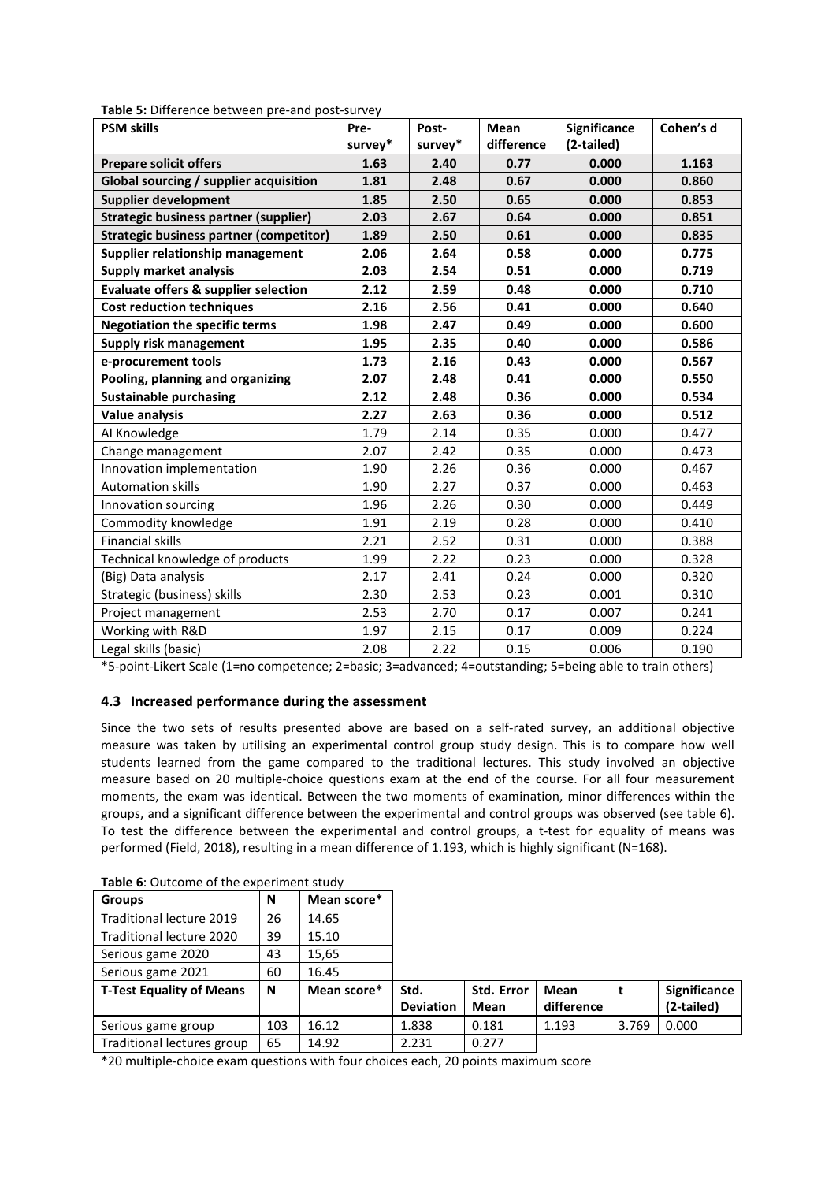| $\sim$ 3. Binerence between pre-and-post-sarvey<br><b>PSM skills</b> | Pre-    | Post-   | <b>Mean</b> | <b>Significance</b> | Cohen's d |
|----------------------------------------------------------------------|---------|---------|-------------|---------------------|-----------|
|                                                                      | survey* | survey* | difference  | (2-tailed)          |           |
| <b>Prepare solicit offers</b>                                        | 1.63    | 2.40    | 0.77        | 0.000               | 1.163     |
| <b>Global sourcing / supplier acquisition</b>                        | 1.81    | 2.48    | 0.67        | 0.000               | 0.860     |
| <b>Supplier development</b>                                          | 1.85    | 2.50    | 0.65        | 0.000               | 0.853     |
| <b>Strategic business partner (supplier)</b>                         | 2.03    | 2.67    | 0.64        | 0.000               | 0.851     |
| <b>Strategic business partner (competitor)</b>                       | 1.89    | 2.50    | 0.61        | 0.000               | 0.835     |
| Supplier relationship management                                     | 2.06    | 2.64    | 0.58        | 0.000               | 0.775     |
| <b>Supply market analysis</b>                                        | 2.03    | 2.54    | 0.51        | 0.000               | 0.719     |
| <b>Evaluate offers &amp; supplier selection</b>                      | 2.12    | 2.59    | 0.48        | 0.000               | 0.710     |
| <b>Cost reduction techniques</b>                                     | 2.16    | 2.56    | 0.41        | 0.000               | 0.640     |
| <b>Negotiation the specific terms</b>                                | 1.98    | 2.47    | 0.49        | 0.000               | 0.600     |
| Supply risk management                                               | 1.95    | 2.35    | 0.40        | 0.000               | 0.586     |
| e-procurement tools                                                  | 1.73    | 2.16    | 0.43        | 0.000               | 0.567     |
| Pooling, planning and organizing                                     | 2.07    | 2.48    | 0.41        | 0.000               | 0.550     |
| <b>Sustainable purchasing</b>                                        | 2.12    | 2.48    | 0.36        | 0.000               | 0.534     |
| <b>Value analysis</b>                                                | 2.27    | 2.63    | 0.36        | 0.000               | 0.512     |
| AI Knowledge                                                         | 1.79    | 2.14    | 0.35        | 0.000               | 0.477     |
| Change management                                                    | 2.07    | 2.42    | 0.35        | 0.000               | 0.473     |
| Innovation implementation                                            | 1.90    | 2.26    | 0.36        | 0.000               | 0.467     |
| <b>Automation skills</b>                                             | 1.90    | 2.27    | 0.37        | 0.000               | 0.463     |
| Innovation sourcing                                                  | 1.96    | 2.26    | 0.30        | 0.000               | 0.449     |
| Commodity knowledge                                                  | 1.91    | 2.19    | 0.28        | 0.000               | 0.410     |
| <b>Financial skills</b>                                              | 2.21    | 2.52    | 0.31        | 0.000               | 0.388     |
| Technical knowledge of products                                      | 1.99    | 2.22    | 0.23        | 0.000               | 0.328     |
| (Big) Data analysis                                                  | 2.17    | 2.41    | 0.24        | 0.000               | 0.320     |
| Strategic (business) skills                                          | 2.30    | 2.53    | 0.23        | 0.001               | 0.310     |
| Project management                                                   | 2.53    | 2.70    | 0.17        | 0.007               | 0.241     |
| Working with R&D                                                     | 1.97    | 2.15    | 0.17        | 0.009               | 0.224     |
| Legal skills (basic)                                                 | 2.08    | 2.22    | 0.15        | 0.006               | 0.190     |

**Table 5:** Difference between pre-and post-survey

\*5-point-Likert Scale (1=no competence; 2=basic; 3=advanced; 4=outstanding; 5=being able to train others)

#### **4.3 Increased performance during the assessment**

Since the two sets of results presented above are based on a self-rated survey, an additional objective measure was taken by utilising an experimental control group study design. This is to compare how well students learned from the game compared to the traditional lectures. This study involved an objective measure based on 20 multiple-choice questions exam at the end of the course. For all four measurement moments, the exam was identical. Between the two moments of examination, minor differences within the groups, and a significant difference between the experimental and control groups was observed (see table 6). To test the difference between the experimental and control groups, a t-test for equality of means was performed (Field, 2018), resulting in a mean difference of 1.193, which is highly significant (N=168).

| <b>Groups</b>                   | N   | Mean score* |                  |            |            |       |                     |
|---------------------------------|-----|-------------|------------------|------------|------------|-------|---------------------|
| <b>Traditional lecture 2019</b> | 26  | 14.65       |                  |            |            |       |                     |
| Traditional lecture 2020        | 39  | 15.10       |                  |            |            |       |                     |
| Serious game 2020               | 43  | 15,65       |                  |            |            |       |                     |
| Serious game 2021               | 60  | 16.45       |                  |            |            |       |                     |
| <b>T-Test Equality of Means</b> | N   | Mean score* | Std.             | Std. Error | Mean       |       | <b>Significance</b> |
|                                 |     |             | <b>Deviation</b> | Mean       | difference |       | (2-tailed)          |
| Serious game group              | 103 | 16.12       | 1.838            | 0.181      | 1.193      | 3.769 | 0.000               |
| Traditional lectures group      | 65  | 14.92       | 2.231            | 0.277      |            |       |                     |

| Table 6: Outcome of the experiment study |  |
|------------------------------------------|--|
|------------------------------------------|--|

\*20 multiple-choice exam questions with four choices each, 20 points maximum score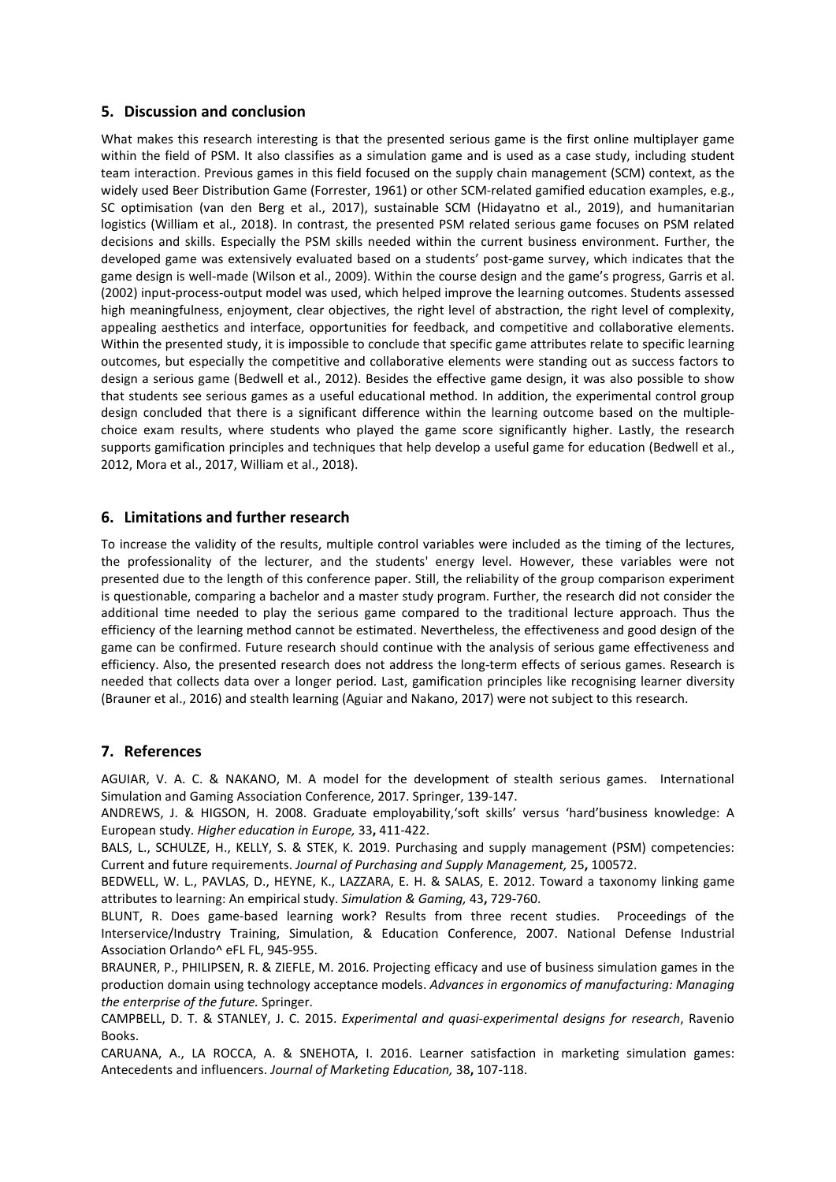## **5. Discussion and conclusion**

What makes this research interesting is that the presented serious game is the first online multiplayer game within the field of PSM. It also classifies as a simulation game and is used as a case study, including student team interaction. Previous games in this field focused on the supply chain management (SCM) context, as the widely used Beer Distribution Game (Forrester, 1961) or other SCM-related gamified education examples, e.g., SC optimisation (van den Berg et al., 2017), sustainable SCM (Hidayatno et al., 2019), and humanitarian logistics (William et al., 2018). In contrast, the presented PSM related serious game focuses on PSM related decisions and skills. Especially the PSM skills needed within the current business environment. Further, the developed game was extensively evaluated based on a students' post-game survey, which indicates that the game design is well-made (Wilson et al., 2009). Within the course design and the game's progress, Garris et al. (2002) input-process-output model was used, which helped improve the learning outcomes. Students assessed high meaningfulness, enjoyment, clear objectives, the right level of abstraction, the right level of complexity, appealing aesthetics and interface, opportunities for feedback, and competitive and collaborative elements. Within the presented study, it is impossible to conclude that specific game attributes relate to specific learning outcomes, but especially the competitive and collaborative elements were standing out as success factors to design a serious game (Bedwell et al., 2012). Besides the effective game design, it was also possible to show that students see serious games as a useful educational method. In addition, the experimental control group design concluded that there is a significant difference within the learning outcome based on the multiplechoice exam results, where students who played the game score significantly higher. Lastly, the research supports gamification principles and techniques that help develop a useful game for education (Bedwell et al., 2012, Mora et al., 2017, William et al., 2018).

## **6. Limitations and further research**

To increase the validity of the results, multiple control variables were included as the timing of the lectures, the professionality of the lecturer, and the students' energy level. However, these variables were not presented due to the length of this conference paper. Still, the reliability of the group comparison experiment is questionable, comparing a bachelor and a master study program. Further, the research did not consider the additional time needed to play the serious game compared to the traditional lecture approach. Thus the efficiency of the learning method cannot be estimated. Nevertheless, the effectiveness and good design of the game can be confirmed. Future research should continue with the analysis of serious game effectiveness and efficiency. Also, the presented research does not address the long-term effects of serious games. Research is needed that collects data over a longer period. Last, gamification principles like recognising learner diversity (Brauner et al., 2016) and stealth learning (Aguiar and Nakano, 2017) were not subject to this research.

## **7. References**

AGUIAR, V. A. C. & NAKANO, M. A model for the development of stealth serious games. International Simulation and Gaming Association Conference, 2017. Springer, 139-147.

ANDREWS, J. & HIGSON, H. 2008. Graduate employability,'soft skills' versus 'hard'business knowledge: A European study. *Higher education in Europe,* 33**,** 411-422.

BALS, L., SCHULZE, H., KELLY, S. & STEK, K. 2019. Purchasing and supply management (PSM) competencies: Current and future requirements. *Journal of Purchasing and Supply Management,* 25**,** 100572.

BEDWELL, W. L., PAVLAS, D., HEYNE, K., LAZZARA, E. H. & SALAS, E. 2012. Toward a taxonomy linking game attributes to learning: An empirical study. *Simulation & Gaming,* 43**,** 729-760.

BLUNT, R. Does game-based learning work? Results from three recent studies. Proceedings of the Interservice/Industry Training, Simulation, & Education Conference, 2007. National Defense Industrial Association Orlando^ eFL FL, 945-955.

BRAUNER, P., PHILIPSEN, R. & ZIEFLE, M. 2016. Projecting efficacy and use of business simulation games in the production domain using technology acceptance models. *Advances in ergonomics of manufacturing: Managing the enterprise of the future.* Springer.

CAMPBELL, D. T. & STANLEY, J. C. 2015. *Experimental and quasi-experimental designs for research*, Ravenio Books.

CARUANA, A., LA ROCCA, A. & SNEHOTA, I. 2016. Learner satisfaction in marketing simulation games: Antecedents and influencers. *Journal of Marketing Education,* 38**,** 107-118.